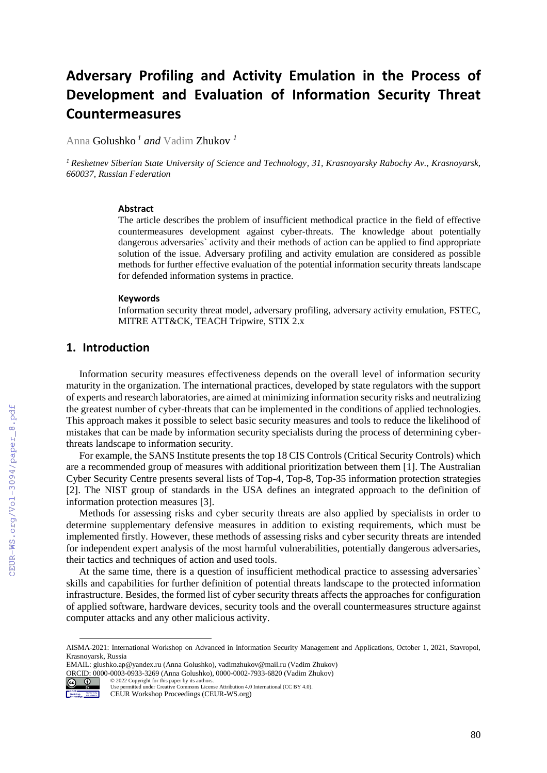# **Adversary Profiling and Activity Emulation in the Process of Development and Evaluation of Information Security Threat Countermeasures**

Anna Golushko *<sup>1</sup> and* Vadim Zhukov *<sup>1</sup>*

*<sup>1</sup> Reshetnev Siberian State University of Science and Technology, 31, Krasnoyarsky Rabochy Av., Krasnoyarsk, 660037, Russian Federation* 

#### **Abstract**

The article describes the problem of insufficient methodical practice in the field of effective countermeasures development against cyber-threats. The knowledge about potentially dangerous adversaries` activity and their methods of action can be applied to find appropriate solution of the issue. Adversary profiling and activity emulation are considered as possible methods for further effective evaluation of the potential information security threats landscape for defended information systems in practice.

#### **Keywords**

Information security threat model, adversary profiling, adversary activity emulation, FSTEC, MITRE ATT&CK, TEACH Tripwire, STIX 2.x

# **1. Introduction**

Information security measures effectiveness depends on the overall level of information security maturity in the organization. The international practices, developed by state regulators with the support of experts and research laboratories, are aimed at minimizing information security risks and neutralizing the greatest number of cyber-threats that can be implemented in the conditions of applied technologies. This approach makes it possible to select basic security measures and tools to reduce the likelihood of mistakes that can be made by information security specialists during the process of determining cyberthreats landscape to information security.

For example, the SANS Institute presents the top 18 CIS Controls (Critical Security Controls) which are a recommended group of measures with additional prioritization between them [1]. The Australian Cyber Security Centre presents several lists of Top-4, Top-8, Top-35 information protection strategies [2]. The NIST group of standards in the USA defines an integrated approach to the definition of information protection measures [3].

Methods for assessing risks and cyber security threats are also applied by specialists in order to determine supplementary defensive measures in addition to existing requirements, which must be implemented firstly. However, these methods of assessing risks and cyber security threats are intended for independent expert analysis of the most harmful vulnerabilities, potentially dangerous adversaries, their tactics and techniques of action and used tools.

At the same time, there is a question of insufficient methodical practice to assessing adversaries` skills and capabilities for further definition of potential threats landscape to the protected information infrastructure. Besides, the formed list of cyber security threats affects the approaches for configuration of applied software, hardware devices, security tools and the overall countermeasures structure against computer attacks and any other malicious activity.

EMAIL: glushko.ap@yandex.ru (Anna Golushko), vadimzhukov@mail.ru (Vadim Zhukov) ORCID: 0000-0003-0933-3269 (Anna Golushko), 0000-0002-7933-6820 (Vadim Zhukov) © 2022 Copyright for this paper by its authors.



 $\overline{a}$ 

CEUR-WS.org/Vol-3094/paper\_8.pdf

AISMA-2021: International Workshop on Advanced in Information Security Management and Applications, October 1, 2021, Stavropol, Krasnoyarsk, Russia

Use permitted under Creative Commons License Attribution 4.0 International (CC BY 4.0). CEUR Workshop Proceedings (CEUR-WS.org)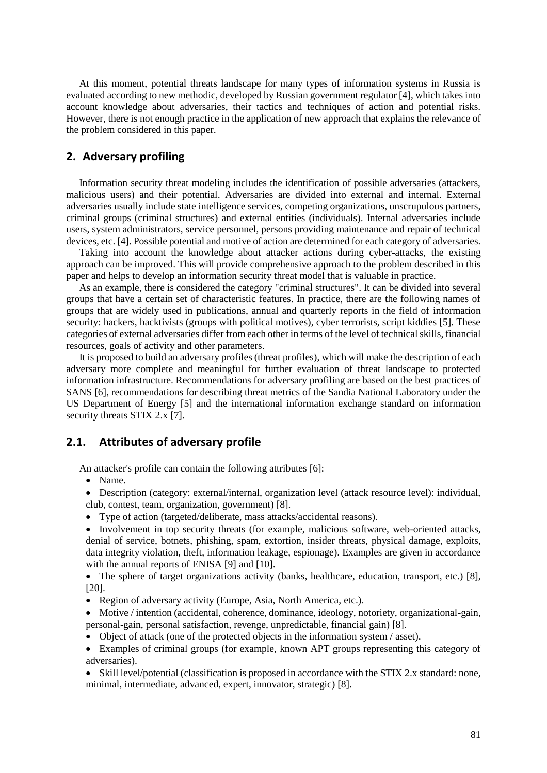At this moment, potential threats landscape for many types of information systems in Russia is evaluated according to new methodic, developed by Russian government regulator [4], which takes into account knowledge about adversaries, their tactics and techniques of action and potential risks. However, there is not enough practice in the application of new approach that explains the relevance of the problem considered in this paper.

## **2. Adversary profiling**

Information security threat modeling includes the identification of possible adversaries (attackers, malicious users) and their potential. Adversaries are divided into external and internal. External adversaries usually include state intelligence services, competing organizations, unscrupulous partners, criminal groups (criminal structures) and external entities (individuals). Internal adversaries include users, system administrators, service personnel, persons providing maintenance and repair of technical devices, etc. [4]. Possible potential and motive of action are determined for each category of adversaries.

Taking into account the knowledge about attacker actions during cyber-attacks, the existing approach can be improved. This will provide comprehensive approach to the problem described in this paper and helps to develop an information security threat model that is valuable in practice.

As an example, there is considered the category "criminal structures". It can be divided into several groups that have a certain set of characteristic features. In practice, there are the following names of groups that are widely used in publications, annual and quarterly reports in the field of information security: hackers, hacktivists (groups with political motives), cyber terrorists, script kiddies [5]. These categories of external adversaries differ from each other in terms of the level of technical skills, financial resources, goals of activity and other parameters.

It is proposed to build an adversary profiles (threat profiles), which will make the description of each adversary more complete and meaningful for further evaluation of threat landscape to protected information infrastructure. Recommendations for adversary profiling are based on the best practices of SANS [6], recommendations for describing threat metrics of the Sandia National Laboratory under the US Department of Energy [5] and the international information exchange standard on information security threats STIX 2.x [7].

#### **2.1. Attributes of adversary profile**

An attacker's profile can contain the following attributes [6]:

- Name.
- Description (category: external/internal, organization level (attack resource level): individual, club, contest, team, organization, government) [8].
- Type of action (targeted/deliberate, mass attacks/accidental reasons).
- Involvement in top security threats (for example, malicious software, web-oriented attacks, denial of service, botnets, phishing, spam, extortion, insider threats, physical damage, exploits, data integrity violation, theft, information leakage, espionage). Examples are given in accordance with the annual reports of ENISA [9] and [10].

 The sphere of target organizations activity (banks, healthcare, education, transport, etc.) [8], [20].

- Region of adversary activity (Europe, Asia, North America, etc.).
- Motive / intention (accidental, coherence, dominance, ideology, notoriety, organizational-gain, personal-gain, personal satisfaction, revenge, unpredictable, financial gain) [8].
- Object of attack (one of the protected objects in the information system / asset).
- Examples of criminal groups (for example, known APT groups representing this category of adversaries).
- Skill level/potential (classification is proposed in accordance with the STIX 2.x standard: none, minimal, intermediate, advanced, expert, innovator, strategic) [8].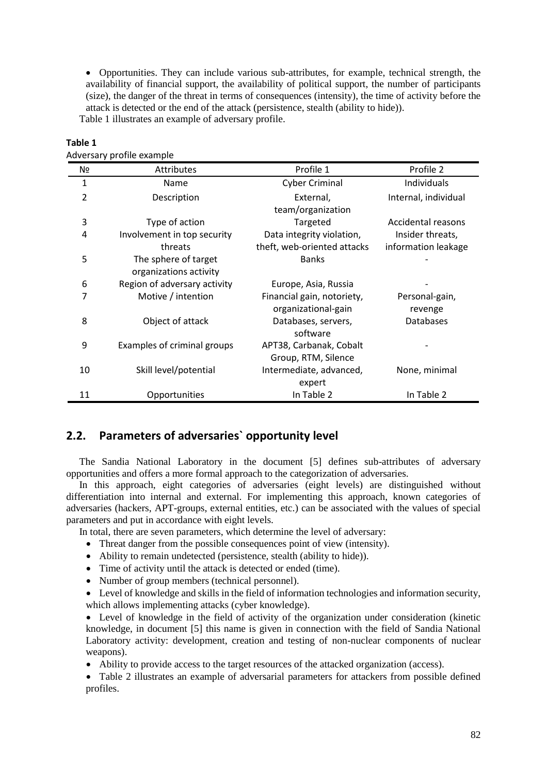Opportunities. They can include various sub-attributes, for example, technical strength, the availability of financial support, the availability of political support, the number of participants (size), the danger of the threat in terms of consequences (intensity), the time of activity before the attack is detected or the end of the attack (persistence, stealth (ability to hide)). Table 1 illustrates an example of adversary profile.

| ouversary prome example. |                              |                             |                      |  |  |  |
|--------------------------|------------------------------|-----------------------------|----------------------|--|--|--|
| Nº                       | Attributes                   | Profile 1                   | Profile 2            |  |  |  |
| $\mathbf{1}$             | Name                         | <b>Cyber Criminal</b>       | Individuals          |  |  |  |
| $\overline{2}$           | Description                  | External,                   | Internal, individual |  |  |  |
|                          |                              | team/organization           |                      |  |  |  |
| 3                        | Type of action               | Targeted                    | Accidental reasons   |  |  |  |
| 4                        | Involvement in top security  | Data integrity violation,   | Insider threats,     |  |  |  |
|                          | threats                      | theft, web-oriented attacks | information leakage  |  |  |  |
| 5                        | The sphere of target         | <b>Banks</b>                |                      |  |  |  |
|                          | organizations activity       |                             |                      |  |  |  |
| 6                        | Region of adversary activity | Europe, Asia, Russia        |                      |  |  |  |
| 7                        | Motive / intention           | Financial gain, notoriety,  | Personal-gain,       |  |  |  |
|                          |                              | organizational-gain         | revenge              |  |  |  |
| 8                        | Object of attack             | Databases, servers,         | Databases            |  |  |  |
|                          |                              | software                    |                      |  |  |  |
| 9                        | Examples of criminal groups  | APT38, Carbanak, Cobalt     |                      |  |  |  |
|                          |                              | Group, RTM, Silence         |                      |  |  |  |
| 10                       | Skill level/potential        | Intermediate, advanced,     | None, minimal        |  |  |  |
|                          |                              | expert                      |                      |  |  |  |
| 11                       | Opportunities                | In Table 2                  | In Table 2           |  |  |  |

# **Table 1**

Adversary profile example

# **2.2. Parameters of adversaries` opportunity level**

The Sandia National Laboratory in the document [5] defines sub-attributes of adversary opportunities and offers a more formal approach to the categorization of adversaries.

In this approach, eight categories of adversaries (eight levels) are distinguished without differentiation into internal and external. For implementing this approach, known categories of adversaries (hackers, APT-groups, external entities, etc.) can be associated with the values of special parameters and put in accordance with eight levels.

In total, there are seven parameters, which determine the level of adversary:

- Threat danger from the possible consequences point of view (intensity).
- Ability to remain undetected (persistence, stealth (ability to hide)).
- Time of activity until the attack is detected or ended (time).
- Number of group members (technical personnel).

 Level of knowledge and skills in the field of information technologies and information security, which allows implementing attacks (cyber knowledge).

 Level of knowledge in the field of activity of the organization under consideration (kinetic knowledge, in document [5] this name is given in connection with the field of Sandia National Laboratory activity: development, creation and testing of non-nuclear components of nuclear weapons).

Ability to provide access to the target resources of the attacked organization (access).

 Table 2 illustrates an example of adversarial parameters for attackers from possible defined profiles.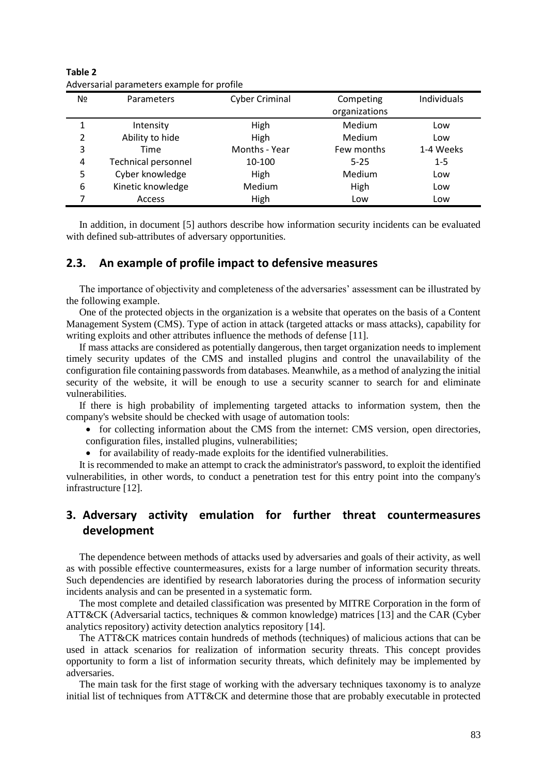| N <sub>2</sub> | Parameters                 | <b>Cyber Criminal</b> | Competing<br>organizations | Individuals |
|----------------|----------------------------|-----------------------|----------------------------|-------------|
| 1              | Intensity                  | High                  | Medium                     | Low         |
| 2              | Ability to hide            | High                  | Medium                     | Low         |
| 3              | Time                       | Months - Year         | Few months                 | 1-4 Weeks   |
| 4              | <b>Technical personnel</b> | 10-100                | $5 - 25$                   | $1 - 5$     |
| 5              | Cyber knowledge            | High                  | Medium                     | Low         |
| 6              | Kinetic knowledge          | Medium                | High                       | Low         |
| 7              | Access                     | High                  | Low                        | Low         |

**Table 2** Adversarial parameters example for profile

In addition, in document [5] authors describe how information security incidents can be evaluated with defined sub-attributes of adversary opportunities.

#### **2.3. An example of profile impact to defensive measures**

The importance of objectivity and completeness of the adversaries' assessment can be illustrated by the following example.

One of the protected objects in the organization is a website that operates on the basis of a Content Management System (CMS). Type of action in attack (targeted attacks or mass attacks), capability for writing exploits and other attributes influence the methods of defense [11].

If mass attacks are considered as potentially dangerous, then target organization needs to implement timely security updates of the CMS and installed plugins and control the unavailability of the configuration file containing passwords from databases. Meanwhile, as a method of analyzing the initial security of the website, it will be enough to use a security scanner to search for and eliminate vulnerabilities.

If there is high probability of implementing targeted attacks to information system, then the company's website should be checked with usage of automation tools:

• for collecting information about the CMS from the internet: CMS version, open directories, configuration files, installed plugins, vulnerabilities;

for availability of ready-made exploits for the identified vulnerabilities.

It is recommended to make an attempt to crack the administrator's password, to exploit the identified vulnerabilities, in other words, to conduct a penetration test for this entry point into the company's infrastructure [12].

# **3. Adversary activity emulation for further threat countermeasures development**

The dependence between methods of attacks used by adversaries and goals of their activity, as well as with possible effective countermeasures, exists for a large number of information security threats. Such dependencies are identified by research laboratories during the process of information security incidents analysis and can be presented in a systematic form.

The most complete and detailed classification was presented by MITRE Corporation in the form of ATT&CK (Adversarial tactics, techniques & common knowledge) matrices [13] and the CAR (Cyber analytics repository) activity detection analytics repository [14].

The ATT&CK matrices contain hundreds of methods (techniques) of malicious actions that can be used in attack scenarios for realization of information security threats. This concept provides opportunity to form a list of information security threats, which definitely may be implemented by adversaries.

The main task for the first stage of working with the adversary techniques taxonomy is to analyze initial list of techniques from ATT&CK and determine those that are probably executable in protected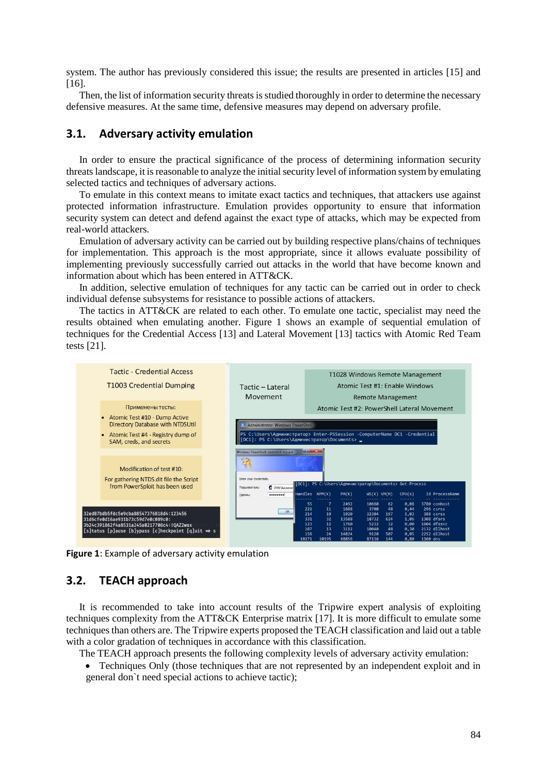system. The author has previously considered this issue; the results are presented in articles [15] and [16].

Then, the list of information security threats is studied thoroughly in order to determine the necessary defensive measures. At the same time, defensive measures may depend on adversary profile.

## **3.1. Adversary activity emulation**

In order to ensure the practical significance of the process of determining information security threats landscape, it is reasonable to analyze the initial security level of information system by emulating selected tactics and techniques of adversary actions.

To emulate in this context means to imitate exact tactics and techniques, that attackers use against protected information infrastructure. Emulation provides opportunity to ensure that information security system can detect and defend against the exact type of attacks, which may be expected from real-world attackers.

Emulation of adversary activity can be carried out by building respective plans/chains of techniques for implementation. This approach is the most appropriate, since it allows evaluate possibility of implementing previously successfully carried out attacks in the world that have become known and information about which has been entered in ATT&CK.

In addition, selective emulation of techniques for any tactic can be carried out in order to check individual defense subsystems for resistance to possible actions of attackers.

The tactics in ATT&CK are related to each other. To emulate one tactic, specialist may need the results obtained when emulating another. Figure 1 shows an example of sequential emulation of techniques for the Credential Access [13] and Lateral Movement [13] tactics with Atomic Red Team tests [21].



**Figure 1**: Example of adversary activity emulation

# **3.2. TEACH approach**

It is recommended to take into account results of the Tripwire expert analysis of exploiting techniques complexity from the ATT&CK Enterprise matrix [17]. It is more difficult to emulate some techniques than others are. The Tripwire experts proposed the TEACH classification and laid out a table with a color gradation of techniques in accordance with this classification.

The TEACH approach presents the following complexity levels of adversary activity emulation:

 Techniques Only (those techniques that are not represented by an independent exploit and in general don`t need special actions to achieve tactic);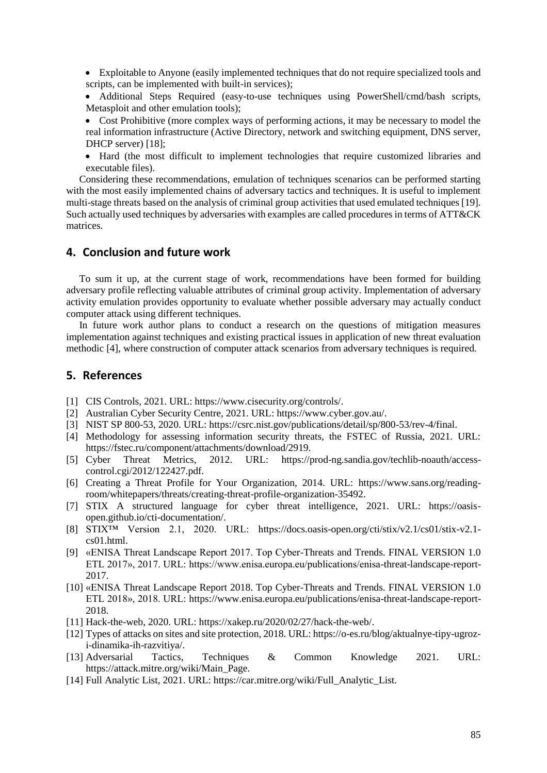- Exploitable to Anyone (easily implemented techniques that do not require specialized tools and scripts, can be implemented with built-in services);
- Additional Steps Required (easy-to-use techniques using PowerShell/cmd/bash scripts, Metasploit and other emulation tools);
- Cost Prohibitive (more complex ways of performing actions, it may be necessary to model the real information infrastructure (Active Directory, network and switching equipment, DNS server, DHCP server) [18];
- Hard (the most difficult to implement technologies that require customized libraries and executable files).

Considering these recommendations, emulation of techniques scenarios can be performed starting with the most easily implemented chains of adversary tactics and techniques. It is useful to implement multi-stage threats based on the analysis of criminal group activities that used emulated techniques [19]. Such actually used techniques by adversaries with examples are called procedures in terms of ATT&CK matrices.

# **4. Conclusion and future work**

To sum it up, at the current stage of work, recommendations have been formed for building adversary profile reflecting valuable attributes of criminal group activity. Implementation of adversary activity emulation provides opportunity to evaluate whether possible adversary may actually conduct computer attack using different techniques.

In future work author plans to conduct a research on the questions of mitigation measures implementation against techniques and existing practical issues in application of new threat evaluation methodic [4], where construction of computer attack scenarios from adversary techniques is required.

### **5. References**

- [1] CIS Controls, 2021. URL: https://www.cisecurity.org/controls/.
- [2] Australian Cyber Security Centre, 2021. URL: https://www.cyber.gov.au/.
- [3] NIST SP 800-53, 2020. URL: https://csrc.nist.gov/publications/detail/sp/800-53/rev-4/final.
- [4] Methodology for assessing information security threats, the FSTEC of Russia, 2021. URL: https://fstec.ru/component/attachments/download/2919.<br>Cyber Threat Metrics. 2012. URL: https://t
- [5] Cyber Threat Metrics, 2012. URL: https://prod-ng.sandia.gov/techlib-noauth/accesscontrol.cgi/2012/122427.pdf.
- [6] Creating a Threat Profile for Your Organization, 2014. URL: [https://www.sans.org/reading](https://www.sans.org/reading-room/whitepapers/threats/creating-threat-profile-organization-35492)[room/whitepapers/threats/creating-threat-profile-organization-35492.](https://www.sans.org/reading-room/whitepapers/threats/creating-threat-profile-organization-35492)
- [7] STIX A structured language for cyber threat intelligence, 2021. URL: https://oasisopen.github.io/cti-documentation/.
- [8] STIX™ Version 2.1, 2020. URL: https://docs.oasis-open.org/cti/stix/v2.1/cs01/stix-v2.1 cs01.html.
- [9] «ENISA Threat Landscape Report 2017. Top Cyber-Threats and Trends. FINAL VERSION 1.0 ETL 2017», 2017. URL: https://www.enisa.europa.eu/publications/enisa-threat-landscape-report-2017.
- [10] «ENISA Threat Landscape Report 2018. Top Cyber-Threats and Trends. FINAL VERSION 1.0 ETL 2018», 2018. URL: [https://www.enisa.europa.eu/publications/enisa-threat-landscape-report-](https://www.enisa.europa.eu/publications/enisa-threat-landscape-report-2018)[2018.](https://www.enisa.europa.eu/publications/enisa-threat-landscape-report-2018)
- [11] Hack-the-web, 2020. URL: [https://xakep.ru/2020/02/27/hack-the-web/.](https://xakep.ru/2020/02/27/hack-the-web/)
- [12] Types of attacks on sites and site protection, 2018. URL: https://o-es.ru/blog/aktualnye-tipy-ugrozi-dinamika-ih-razvitiya/.
- [13] Adversarial Tactics, Techniques & Common Knowledge 2021. URL: https://attack.mitre.org/wiki/Main\_Page.
- [14] Full Analytic List, 2021. URL: https://car.mitre.org/wiki/Full\_Analytic\_List.